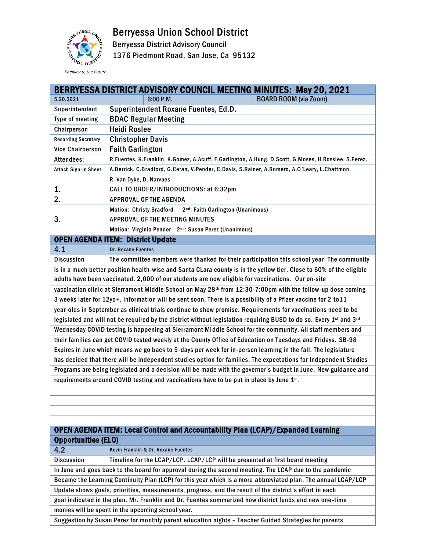Berryessa Union School District



Berryessa District Advisory Council

1376 Piedmont Road, San Jose, Ca 95132

Pathway to the Future

|                                                                                                                     | BERRYESSA DISTRICT ADVISORY COUNCIL MEETING MINUTES: May 20, 2021                                    |  |  |
|---------------------------------------------------------------------------------------------------------------------|------------------------------------------------------------------------------------------------------|--|--|
| 5.20.2021                                                                                                           | 6:00 P.M.<br><b>BOARD ROOM (via Zoom)</b>                                                            |  |  |
| Superintendent                                                                                                      | Superintendent Roxane Fuentes, Ed.D.                                                                 |  |  |
| Type of meeting                                                                                                     | <b>BDAC Regular Meeting</b>                                                                          |  |  |
| Chairperson                                                                                                         | <b>Heidi Roslee</b>                                                                                  |  |  |
| <b>Recording Secretary</b>                                                                                          | <b>Christopher Davis</b>                                                                             |  |  |
| <b>Vice Chairperson</b>                                                                                             | <b>Faith Garlington</b>                                                                              |  |  |
| Attendees:                                                                                                          | R.Fuentes, K.Franklin, K.Gomez, A.Acuff, F.Garlington, A.Hung, D.Scott, G.Moses, H.Rosslee, S.Perez, |  |  |
| Attach Sign-In Sheet                                                                                                | A.Derrick, C.Bradford, G.Ceran, V.Pender, C.Davis, S.Rainer, A.Romero, A.O'Leary, L.Chattmon,        |  |  |
|                                                                                                                     | R. Van Dyke, D. Narvaes                                                                              |  |  |
| 1.                                                                                                                  | CALL TO ORDER/INTRODUCTIONS: at 6:32pm                                                               |  |  |
| 2.                                                                                                                  | <b>APPROVAL OF THE AGENDA</b>                                                                        |  |  |
|                                                                                                                     | 2 <sup>nd</sup> : Faith Garlington (Unanimous)<br><b>Motion: Christy Bradford</b>                    |  |  |
| 3.                                                                                                                  | APPROVAL OF THE MEETING MINUTES                                                                      |  |  |
|                                                                                                                     | Motion: Virginia Pender 2nd: Susan Perez (Unanimous)                                                 |  |  |
|                                                                                                                     | <b>OPEN AGENDA ITEM: District Update</b>                                                             |  |  |
| 4.1                                                                                                                 | <b>Dr. Roxane Fuentes</b>                                                                            |  |  |
| <b>Discussion</b>                                                                                                   | The committee members were thanked for their participation this school year. The community           |  |  |
| is in a much better position health-wise and Santa CLara county is in the yellow tier. Close to 60% of the eligible |                                                                                                      |  |  |
| adults have been vaccinated. 2,000 of our students are now eligible for vaccinations. Our on-site                   |                                                                                                      |  |  |
| vaccination clinic at Sierramont Middle School on May 28th from 12:30-7:00pm with the follow-up dose coming         |                                                                                                      |  |  |
| 3 weeks later for 12yo+. Information will be sent soon. There is a possibility of a Pfizer vaccine for 2 to 11      |                                                                                                      |  |  |
| year-olds in September as clinical trials continue to show promise. Requirements for vaccinations need to be        |                                                                                                      |  |  |
| legislated and will not be required by the district without legislation requiring BUSD to do so. Every 1st and 3rd  |                                                                                                      |  |  |
| Wednesday COVID testing is happening at Sierramont Middle School for the community. All staff members and           |                                                                                                      |  |  |
| their families can get COVID tested weekly at the County Office of Education on Tuesdays and Fridays. SB-98         |                                                                                                      |  |  |
| Expires in June which means we go back to 5-days per week for in-person learning in the fall. The legislature       |                                                                                                      |  |  |
| has decided that there will be independent studies option for families. The expectations for Independent Studies    |                                                                                                      |  |  |
| Programs are being legislated and a decision will be made with the governor's budget in June. New guidance and      |                                                                                                      |  |  |
| requirements around COVID testing and vaccinations have to be put in place by June 1st.                             |                                                                                                      |  |  |
|                                                                                                                     |                                                                                                      |  |  |
|                                                                                                                     |                                                                                                      |  |  |
|                                                                                                                     |                                                                                                      |  |  |
|                                                                                                                     |                                                                                                      |  |  |
| <b>OPEN AGENDA ITEM: Local Control and Accountability Plan (LCAP)/Expanded Learning</b>                             |                                                                                                      |  |  |
| <b>Opportunities (ELO)</b>                                                                                          |                                                                                                      |  |  |
| 4.2                                                                                                                 | Kevin Franklin & Dr. Roxane Fuentes                                                                  |  |  |
| <b>Discussion</b>                                                                                                   | Timeline for the LCAP/LCP. LCAP/LCP will be presented at first board meeting                         |  |  |
| In June and goes back to the board for approval during the second meeting. The LCAP due to the pandemic             |                                                                                                      |  |  |
| Became the Learning Continuity Plan (LCP) for this year which is a more abbreviated plan. The annual LCAP/LCP       |                                                                                                      |  |  |
| Update shows goals, priorities, measurements, progress, and the result of the district's effort in each             |                                                                                                      |  |  |

goal indicated in the plan. Mr. Franklin and Dr. Fuentes summarized how district funds and new one -time

monies will be spent in the upcoming school year.

Suggestion by Susan Perez for monthly parent education nights – Teacher Guided Strategies for parents